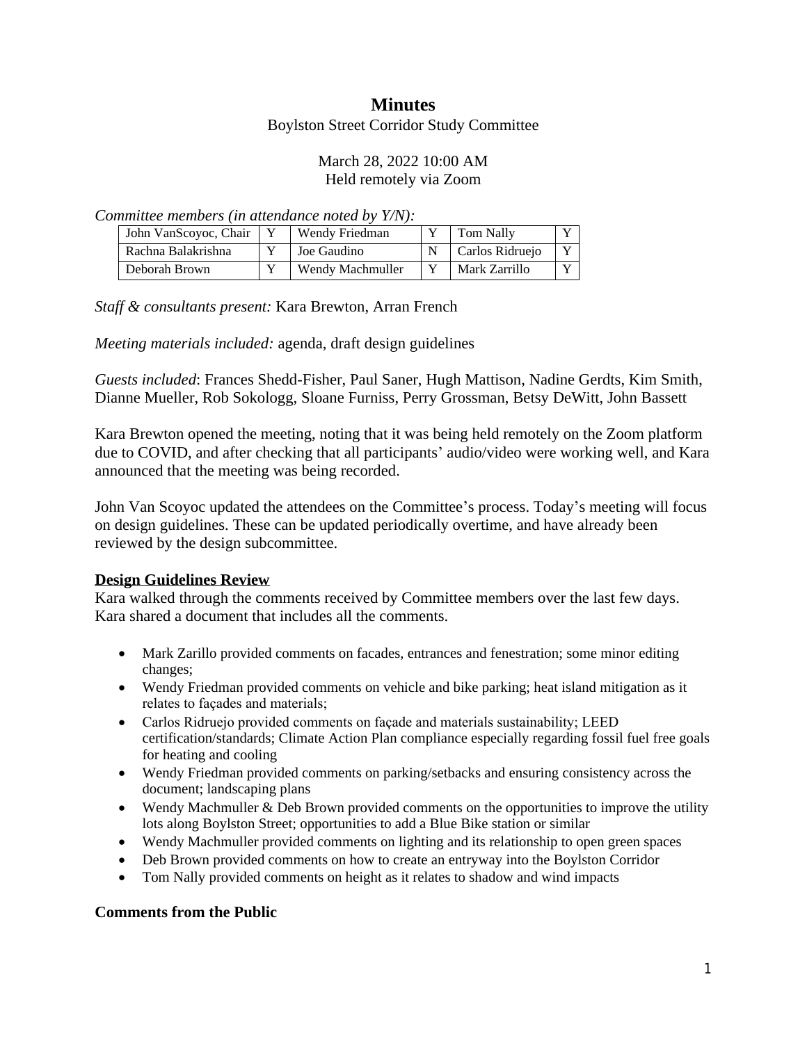# **Minutes**

Boylston Street Corridor Study Committee

#### March 28, 2022 10:00 AM Held remotely via Zoom

*Committee members (in attendance noted by Y/N):*

| John VanScoyoc, Chair | Wendy Friedman   | <b>Tom Nally</b> | $\mathbf{v}$   |
|-----------------------|------------------|------------------|----------------|
| Rachna Balakrishna    | Joe Gaudino      | Carlos Ridruejo  | $\mathbf{v}$   |
| Deborah Brown         | Wendy Machmuller | Mark Zarrillo    | $\overline{V}$ |

*Staff & consultants present:* Kara Brewton, Arran French

*Meeting materials included:* agenda, draft design guidelines

*Guests included*: Frances Shedd-Fisher, Paul Saner, Hugh Mattison, Nadine Gerdts, Kim Smith, Dianne Mueller, Rob Sokologg, Sloane Furniss, Perry Grossman, Betsy DeWitt, John Bassett

Kara Brewton opened the meeting, noting that it was being held remotely on the Zoom platform due to COVID, and after checking that all participants' audio/video were working well, and Kara announced that the meeting was being recorded.

John Van Scoyoc updated the attendees on the Committee's process. Today's meeting will focus on design guidelines. These can be updated periodically overtime, and have already been reviewed by the design subcommittee.

## **Design Guidelines Review**

Kara walked through the comments received by Committee members over the last few days. Kara shared a document that includes all the comments.

- Mark Zarillo provided comments on facades, entrances and fenestration; some minor editing changes;
- Wendy Friedman provided comments on vehicle and bike parking; heat island mitigation as it relates to façades and materials;
- Carlos Ridruejo provided comments on façade and materials sustainability; LEED certification/standards; Climate Action Plan compliance especially regarding fossil fuel free goals for heating and cooling
- Wendy Friedman provided comments on parking/setbacks and ensuring consistency across the document; landscaping plans
- Wendy Machmuller & Deb Brown provided comments on the opportunities to improve the utility lots along Boylston Street; opportunities to add a Blue Bike station or similar
- Wendy Machmuller provided comments on lighting and its relationship to open green spaces
- Deb Brown provided comments on how to create an entryway into the Boylston Corridor
- Tom Nally provided comments on height as it relates to shadow and wind impacts

## **Comments from the Public**